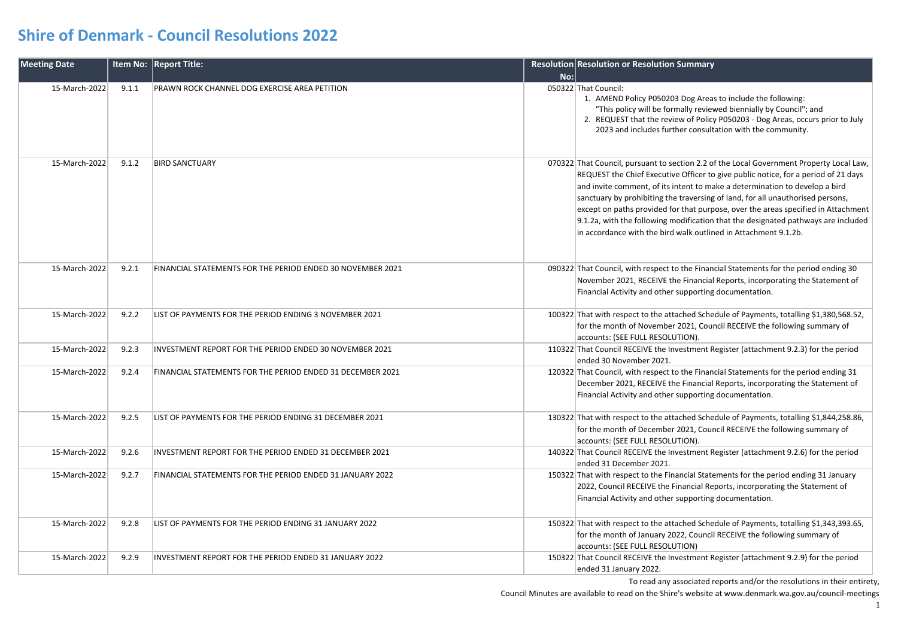| <b>Meeting Date</b> |       | Item No: Report Title:                                     |     | Resolution Resolution or Resolution Summary                                                                                                                                                                                                                                                                                                                                                                                                                                                                                                                                                  |
|---------------------|-------|------------------------------------------------------------|-----|----------------------------------------------------------------------------------------------------------------------------------------------------------------------------------------------------------------------------------------------------------------------------------------------------------------------------------------------------------------------------------------------------------------------------------------------------------------------------------------------------------------------------------------------------------------------------------------------|
|                     |       |                                                            | No: |                                                                                                                                                                                                                                                                                                                                                                                                                                                                                                                                                                                              |
| 15-March-2022       | 9.1.1 | PRAWN ROCK CHANNEL DOG EXERCISE AREA PETITION              |     | 050322 That Council:<br>1. AMEND Policy P050203 Dog Areas to include the following:<br>"This policy will be formally reviewed biennially by Council"; and<br>2. REQUEST that the review of Policy P050203 - Dog Areas, occurs prior to July<br>2023 and includes further consultation with the community.                                                                                                                                                                                                                                                                                    |
| 15-March-2022       | 9.1.2 | <b>BIRD SANCTUARY</b>                                      |     | 070322 That Council, pursuant to section 2.2 of the Local Government Property Local Law,<br>REQUEST the Chief Executive Officer to give public notice, for a period of 21 days<br>and invite comment, of its intent to make a determination to develop a bird<br>sanctuary by prohibiting the traversing of land, for all unauthorised persons,<br>except on paths provided for that purpose, over the areas specified in Attachment<br>9.1.2a, with the following modification that the designated pathways are included<br>in accordance with the bird walk outlined in Attachment 9.1.2b. |
| 15-March-2022       | 9.2.1 | FINANCIAL STATEMENTS FOR THE PERIOD ENDED 30 NOVEMBER 2021 |     | 090322 That Council, with respect to the Financial Statements for the period ending 30<br>November 2021, RECEIVE the Financial Reports, incorporating the Statement of<br>Financial Activity and other supporting documentation.                                                                                                                                                                                                                                                                                                                                                             |
| 15-March-2022       | 9.2.2 | LIST OF PAYMENTS FOR THE PERIOD ENDING 3 NOVEMBER 2021     |     | 100322 That with respect to the attached Schedule of Payments, totalling \$1,380,568.52,<br>for the month of November 2021, Council RECEIVE the following summary of<br>accounts: (SEE FULL RESOLUTION).                                                                                                                                                                                                                                                                                                                                                                                     |
| 15-March-2022       | 9.2.3 | INVESTMENT REPORT FOR THE PERIOD ENDED 30 NOVEMBER 2021    |     | 110322 That Council RECEIVE the Investment Register (attachment 9.2.3) for the period<br>ended 30 November 2021.                                                                                                                                                                                                                                                                                                                                                                                                                                                                             |
| 15-March-2022       | 9.2.4 | FINANCIAL STATEMENTS FOR THE PERIOD ENDED 31 DECEMBER 2021 |     | 120322 That Council, with respect to the Financial Statements for the period ending 31<br>December 2021, RECEIVE the Financial Reports, incorporating the Statement of<br>Financial Activity and other supporting documentation.                                                                                                                                                                                                                                                                                                                                                             |
| 15-March-2022       | 9.2.5 | LIST OF PAYMENTS FOR THE PERIOD ENDING 31 DECEMBER 2021    |     | 130322 That with respect to the attached Schedule of Payments, totalling \$1,844,258.86,<br>for the month of December 2021, Council RECEIVE the following summary of<br>accounts: (SEE FULL RESOLUTION).                                                                                                                                                                                                                                                                                                                                                                                     |
| 15-March-2022       | 9.2.6 | INVESTMENT REPORT FOR THE PERIOD ENDED 31 DECEMBER 2021    |     | 140322 That Council RECEIVE the Investment Register (attachment 9.2.6) for the period<br>ended 31 December 2021.                                                                                                                                                                                                                                                                                                                                                                                                                                                                             |
| 15-March-2022       | 9.2.7 | FINANCIAL STATEMENTS FOR THE PERIOD ENDED 31 JANUARY 2022  |     | 150322 That with respect to the Financial Statements for the period ending 31 January<br>2022, Council RECEIVE the Financial Reports, incorporating the Statement of<br>Financial Activity and other supporting documentation.                                                                                                                                                                                                                                                                                                                                                               |
| 15-March-2022       | 9.2.8 | LIST OF PAYMENTS FOR THE PERIOD ENDING 31 JANUARY 2022     |     | 150322 That with respect to the attached Schedule of Payments, totalling \$1,343,393.65,<br>for the month of January 2022, Council RECEIVE the following summary of<br>accounts: (SEE FULL RESOLUTION)                                                                                                                                                                                                                                                                                                                                                                                       |
| 15-March-2022       | 9.2.9 | INVESTMENT REPORT FOR THE PERIOD ENDED 31 JANUARY 2022     |     | 150322 That Council RECEIVE the Investment Register (attachment 9.2.9) for the period<br>ended 31 January 2022.                                                                                                                                                                                                                                                                                                                                                                                                                                                                              |

To read any associated reports and/or the resolutions in their entirety,

Council Minutes are available to read on the Shire's website at www.denmark.wa.gov.au/council-meetings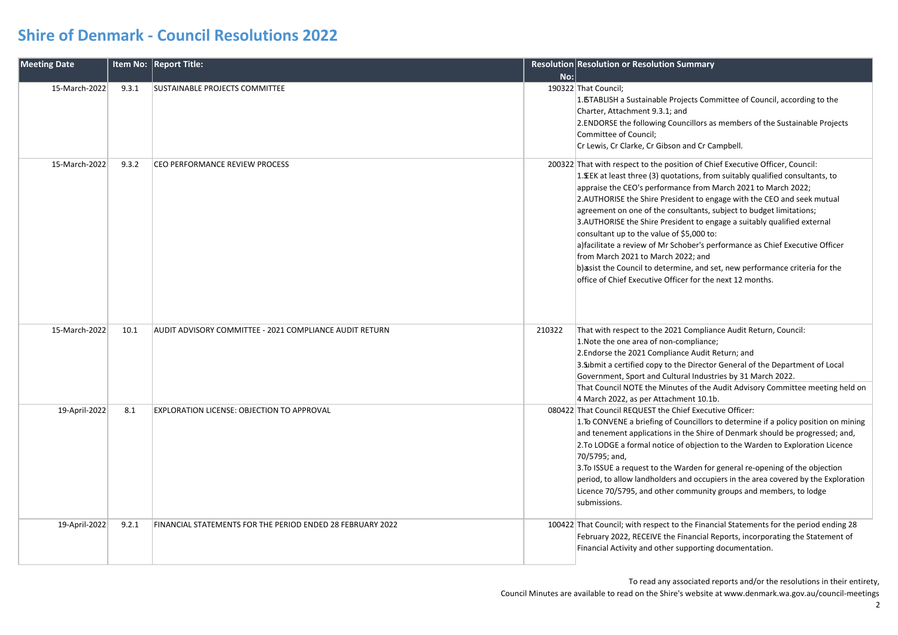| <b>Meeting Date</b> |       | Item No: Report Title:                                     |        | Resolution Resolution or Resolution Summary                                                                                                                                                                                                                                                                                                                                                                                                                                                                                                                                                                                                                                                                                                                                  |
|---------------------|-------|------------------------------------------------------------|--------|------------------------------------------------------------------------------------------------------------------------------------------------------------------------------------------------------------------------------------------------------------------------------------------------------------------------------------------------------------------------------------------------------------------------------------------------------------------------------------------------------------------------------------------------------------------------------------------------------------------------------------------------------------------------------------------------------------------------------------------------------------------------------|
|                     |       |                                                            | No:    |                                                                                                                                                                                                                                                                                                                                                                                                                                                                                                                                                                                                                                                                                                                                                                              |
| 15-March-2022       | 9.3.1 | <b>SUSTAINABLE PROJECTS COMMITTEE</b>                      |        | 190322 That Council;<br>1. BTABLISH a Sustainable Projects Committee of Council, according to the<br>Charter, Attachment 9.3.1; and<br>2. ENDORSE the following Councillors as members of the Sustainable Projects<br>Committee of Council;<br>Cr Lewis, Cr Clarke, Cr Gibson and Cr Campbell.                                                                                                                                                                                                                                                                                                                                                                                                                                                                               |
| 15-March-2022       | 9.3.2 | CEO PERFORMANCE REVIEW PROCESS                             |        | 200322 That with respect to the position of Chief Executive Officer, Council:<br>1. EEK at least three (3) quotations, from suitably qualified consultants, to<br>appraise the CEO's performance from March 2021 to March 2022;<br>2.AUTHORISE the Shire President to engage with the CEO and seek mutual<br>agreement on one of the consultants, subject to budget limitations;<br>3.AUTHORISE the Shire President to engage a suitably qualified external<br>consultant up to the value of \$5,000 to:<br>a) facilitate a review of Mr Schober's performance as Chief Executive Officer<br>from March 2021 to March 2022; and<br>b) asist the Council to determine, and set, new performance criteria for the<br>office of Chief Executive Officer for the next 12 months. |
| 15-March-2022       | 10.1  | AUDIT ADVISORY COMMITTEE - 2021 COMPLIANCE AUDIT RETURN    | 210322 | That with respect to the 2021 Compliance Audit Return, Council:<br>1. Note the one area of non-compliance;<br>2. Endorse the 2021 Compliance Audit Return; and<br>3. Submit a certified copy to the Director General of the Department of Local<br>Government, Sport and Cultural Industries by 31 March 2022.<br>That Council NOTE the Minutes of the Audit Advisory Committee meeting held on<br>4 March 2022, as per Attachment 10.1b.                                                                                                                                                                                                                                                                                                                                    |
| 19-April-2022       | 8.1   | <b>EXPLORATION LICENSE: OBJECTION TO APPROVAL</b>          |        | 080422 That Council REQUEST the Chief Executive Officer:<br>1. To CONVENE a briefing of Councillors to determine if a policy position on mining<br>and tenement applications in the Shire of Denmark should be progressed; and,<br>2.To LODGE a formal notice of objection to the Warden to Exploration Licence<br>70/5795; and,<br>3. To ISSUE a request to the Warden for general re-opening of the objection<br>period, to allow landholders and occupiers in the area covered by the Exploration<br>Licence 70/5795, and other community groups and members, to lodge<br>submissions.                                                                                                                                                                                    |
| 19-April-2022       | 9.2.1 | FINANCIAL STATEMENTS FOR THE PERIOD ENDED 28 FEBRUARY 2022 |        | 100422 That Council; with respect to the Financial Statements for the period ending 28<br>February 2022, RECEIVE the Financial Reports, incorporating the Statement of<br>Financial Activity and other supporting documentation.                                                                                                                                                                                                                                                                                                                                                                                                                                                                                                                                             |

To read any associated reports and/or the resolutions in their entirety,

Council Minutes are available to read on the Shire's website at www.denmark.wa.gov.au/council-meetings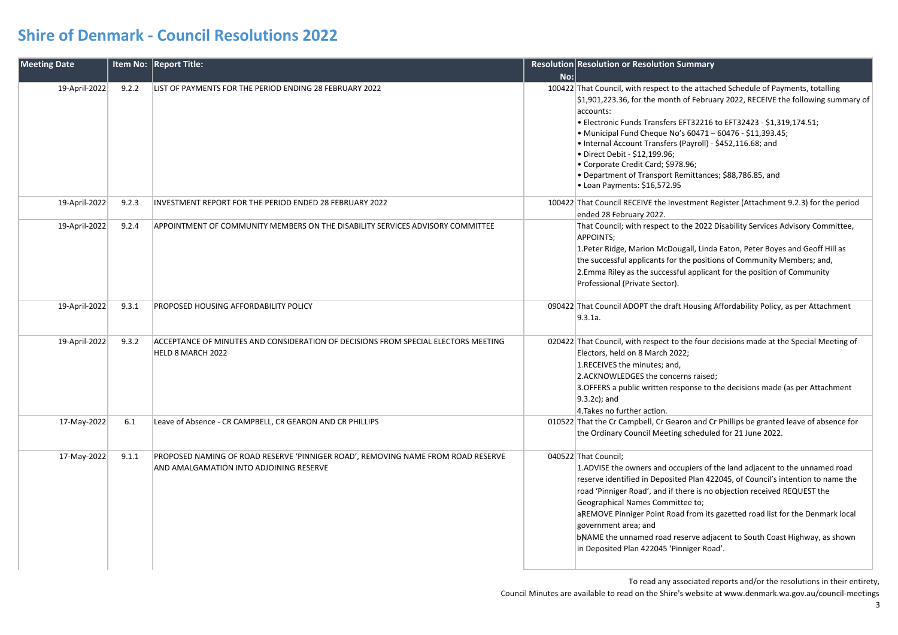| <b>Meeting Date</b> |       | Item No: Report Title:                                                                                                      |     | Resolution Resolution or Resolution Summary                                                                                                                                                                                                                                                                                                                                                                                                                                                                                                            |
|---------------------|-------|-----------------------------------------------------------------------------------------------------------------------------|-----|--------------------------------------------------------------------------------------------------------------------------------------------------------------------------------------------------------------------------------------------------------------------------------------------------------------------------------------------------------------------------------------------------------------------------------------------------------------------------------------------------------------------------------------------------------|
|                     |       |                                                                                                                             | No: |                                                                                                                                                                                                                                                                                                                                                                                                                                                                                                                                                        |
| 19-April-2022       | 9.2.2 | LIST OF PAYMENTS FOR THE PERIOD ENDING 28 FEBRUARY 2022                                                                     |     | 100422 That Council, with respect to the attached Schedule of Payments, totalling<br>\$1,901,223.36, for the month of February 2022, RECEIVE the following summary of<br>accounts:<br>• Electronic Funds Transfers EFT32216 to EFT32423 - \$1,319,174.51;<br>• Municipal Fund Cheque No's 60471 - 60476 - \$11,393.45;<br>• Internal Account Transfers (Payroll) - \$452,116.68; and<br>• Direct Debit - \$12,199.96;<br>• Corporate Credit Card; \$978.96;<br>• Department of Transport Remittances; \$88,786.85, and<br>• Loan Payments: \$16,572.95 |
| 19-April-2022       | 9.2.3 | INVESTMENT REPORT FOR THE PERIOD ENDED 28 FEBRUARY 2022                                                                     |     | 100422 That Council RECEIVE the Investment Register (Attachment 9.2.3) for the period<br>ended 28 February 2022.                                                                                                                                                                                                                                                                                                                                                                                                                                       |
| 19-April-2022       | 9.2.4 | APPOINTMENT OF COMMUNITY MEMBERS ON THE DISABILITY SERVICES ADVISORY COMMITTEE                                              |     | That Council; with respect to the 2022 Disability Services Advisory Committee,<br>APPOINTS;<br>1. Peter Ridge, Marion McDougall, Linda Eaton, Peter Boyes and Geoff Hill as<br>the successful applicants for the positions of Community Members; and,<br>2. Emma Riley as the successful applicant for the position of Community<br>Professional (Private Sector).                                                                                                                                                                                     |
| 19-April-2022       | 9.3.1 | PROPOSED HOUSING AFFORDABILITY POLICY                                                                                       |     | 090422 That Council ADOPT the draft Housing Affordability Policy, as per Attachment<br>9.3.1a.                                                                                                                                                                                                                                                                                                                                                                                                                                                         |
| 19-April-2022       | 9.3.2 | ACCEPTANCE OF MINUTES AND CONSIDERATION OF DECISIONS FROM SPECIAL ELECTORS MEETING<br>HELD 8 MARCH 2022                     |     | 020422 That Council, with respect to the four decisions made at the Special Meeting of<br>Electors, held on 8 March 2022;<br>1.RECEIVES the minutes; and,<br>2.ACKNOWLEDGES the concerns raised;<br>3. OFFERS a public written response to the decisions made (as per Attachment<br>$9.3.2c$ ; and<br>4. Takes no further action.                                                                                                                                                                                                                      |
| 17-May-2022         | 6.1   | Leave of Absence - CR CAMPBELL, CR GEARON AND CR PHILLIPS                                                                   |     | 010522 That the Cr Campbell, Cr Gearon and Cr Phillips be granted leave of absence for<br>the Ordinary Council Meeting scheduled for 21 June 2022.                                                                                                                                                                                                                                                                                                                                                                                                     |
| 17-May-2022         | 9.1.1 | PROPOSED NAMING OF ROAD RESERVE 'PINNIGER ROAD', REMOVING NAME FROM ROAD RESERVE<br>AND AMALGAMATION INTO ADJOINING RESERVE |     | 040522 That Council;<br>1.ADVISE the owners and occupiers of the land adjacent to the unnamed road<br>reserve identified in Deposited Plan 422045, of Council's intention to name the<br>road 'Pinniger Road', and if there is no objection received REQUEST the<br>Geographical Names Committee to;<br>aREMOVE Pinniger Point Road from its gazetted road list for the Denmark local<br>government area; and<br>bNAME the unnamed road reserve adjacent to South Coast Highway, as shown<br>in Deposited Plan 422045 'Pinniger Road'.                 |

To read any associated reports and/or the resolutions in their entirety,

Council Minutes are available to read on the Shire's website at www.denmark.wa.gov.au/council-meetings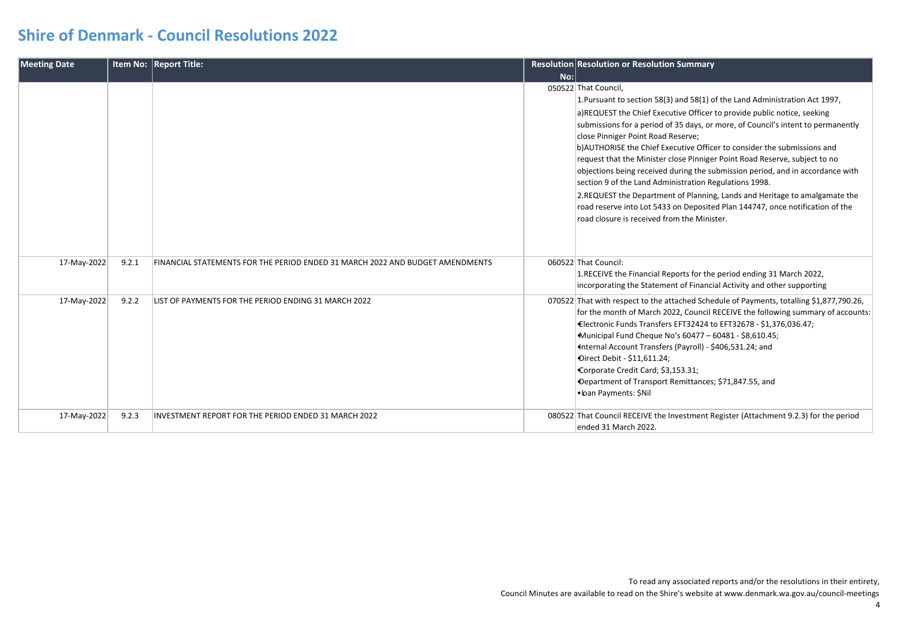| <b>Meeting Date</b> |       | Item No: Report Title:                                                        |     | Resolution Resolution or Resolution Summary                                                                                                                                                                                                                                                                                                                                                                                                                                                                                                                                                                                                                                                                                                                                                                                   |
|---------------------|-------|-------------------------------------------------------------------------------|-----|-------------------------------------------------------------------------------------------------------------------------------------------------------------------------------------------------------------------------------------------------------------------------------------------------------------------------------------------------------------------------------------------------------------------------------------------------------------------------------------------------------------------------------------------------------------------------------------------------------------------------------------------------------------------------------------------------------------------------------------------------------------------------------------------------------------------------------|
|                     |       |                                                                               | No: |                                                                                                                                                                                                                                                                                                                                                                                                                                                                                                                                                                                                                                                                                                                                                                                                                               |
|                     |       |                                                                               |     | 050522 That Council,<br>1. Pursuant to section 58(3) and 58(1) of the Land Administration Act 1997,<br>a)REQUEST the Chief Executive Officer to provide public notice, seeking<br>submissions for a period of 35 days, or more, of Council's intent to permanently<br>close Pinniger Point Road Reserve;<br>b) AUTHORISE the Chief Executive Officer to consider the submissions and<br>request that the Minister close Pinniger Point Road Reserve, subject to no<br>objections being received during the submission period, and in accordance with<br>section 9 of the Land Administration Regulations 1998.<br>2. REQUEST the Department of Planning, Lands and Heritage to amalgamate the<br>road reserve into Lot 5433 on Deposited Plan 144747, once notification of the<br>road closure is received from the Minister. |
| 17-May-2022         | 9.2.1 | FINANCIAL STATEMENTS FOR THE PERIOD ENDED 31 MARCH 2022 AND BUDGET AMENDMENTS |     | 060522 That Council:<br>1.RECEIVE the Financial Reports for the period ending 31 March 2022,<br>incorporating the Statement of Financial Activity and other supporting                                                                                                                                                                                                                                                                                                                                                                                                                                                                                                                                                                                                                                                        |
| 17-May-2022         | 9.2.2 | LIST OF PAYMENTS FOR THE PERIOD ENDING 31 MARCH 2022                          |     | 070522 That with respect to the attached Schedule of Payments, totalling \$1,877,790.26,<br>for the month of March 2022, Council RECEIVE the following summary of accounts:<br>Electronic Funds Transfers EFT32424 to EFT32678 - \$1,376,036.47;<br>Municipal Fund Cheque No's 60477 - 60481 - \$8,610.45;<br>Internal Account Transfers (Payroll) - \$406,531.24; and<br>Direct Debit - \$11,611.24;<br>Corporate Credit Card; \$3,153.31;<br>Department of Transport Remittances; \$71,847.55, and<br>· Loan Payments: \$Nil                                                                                                                                                                                                                                                                                                |
| 17-May-2022         | 9.2.3 | INVESTMENT REPORT FOR THE PERIOD ENDED 31 MARCH 2022                          |     | 080522 That Council RECEIVE the Investment Register (Attachment 9.2.3) for the period<br>ended 31 March 2022.                                                                                                                                                                                                                                                                                                                                                                                                                                                                                                                                                                                                                                                                                                                 |